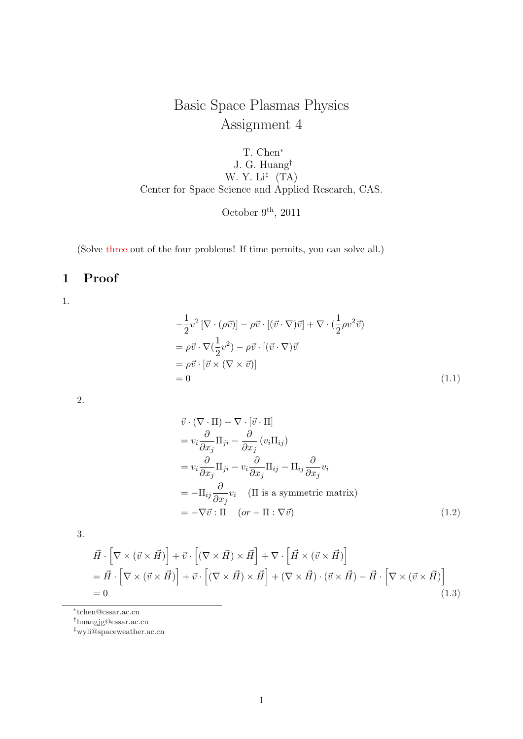# Basic Space Plasmas Physics Assignment 4

T. Chen*<sup>∗</sup>* J. G. Huang*†* W. Y. Li*‡* (TA) Center for Space Science and Applied Research, CAS.

October 9<sup>th</sup>, 2011

(Solve three out of the four problems! If time permits, you can solve all.)

## **1 Proof**

1*.*

$$
-\frac{1}{2}v^2\left[\nabla \cdot (\rho \vec{v})\right] - \rho \vec{v} \cdot \left[(\vec{v} \cdot \nabla)\vec{v}\right] + \nabla \cdot (\frac{1}{2}\rho v^2 \vec{v})
$$
  
\n
$$
= \rho \vec{v} \cdot \nabla (\frac{1}{2}v^2) - \rho \vec{v} \cdot \left[(\vec{v} \cdot \nabla)\vec{v}\right]
$$
  
\n
$$
= \rho \vec{v} \cdot \left[\vec{v} \times (\nabla \times \vec{v})\right]
$$
  
\n
$$
= 0
$$
\n(1.1)

2*.*

$$
\vec{v} \cdot (\nabla \cdot \Pi) - \nabla \cdot [\vec{v} \cdot \Pi] \n= v_i \frac{\partial}{\partial x_j} \Pi_{ji} - \frac{\partial}{\partial x_j} (v_i \Pi_{ij}) \n= v_i \frac{\partial}{\partial x_j} \Pi_{ji} - v_i \frac{\partial}{\partial x_j} \Pi_{ij} - \Pi_{ij} \frac{\partial}{\partial x_j} v_i \n= -\Pi_{ij} \frac{\partial}{\partial x_j} v_i \quad (\Pi \text{ is a symmetric matrix}) \n= -\nabla \vec{v} : \Pi \quad (or -\Pi : \nabla \vec{v})
$$
\n(1.2)

3*.*

$$
\vec{H} \cdot \left[ \nabla \times (\vec{v} \times \vec{H}) \right] + \vec{v} \cdot \left[ (\nabla \times \vec{H}) \times \vec{H} \right] + \nabla \cdot \left[ \vec{H} \times (\vec{v} \times \vec{H}) \right] \n= \vec{H} \cdot \left[ \nabla \times (\vec{v} \times \vec{H}) \right] + \vec{v} \cdot \left[ (\nabla \times \vec{H}) \times \vec{H} \right] + (\nabla \times \vec{H}) \cdot (\vec{v} \times \vec{H}) - \vec{H} \cdot \left[ \nabla \times (\vec{v} \times \vec{H}) \right] \n= 0
$$
\n(1.3)

*∗* tchen@cssar.ac.cn

*†*huangjg@cssar.ac.cn

*<sup>‡</sup>*wyli@spaceweather.ac.cn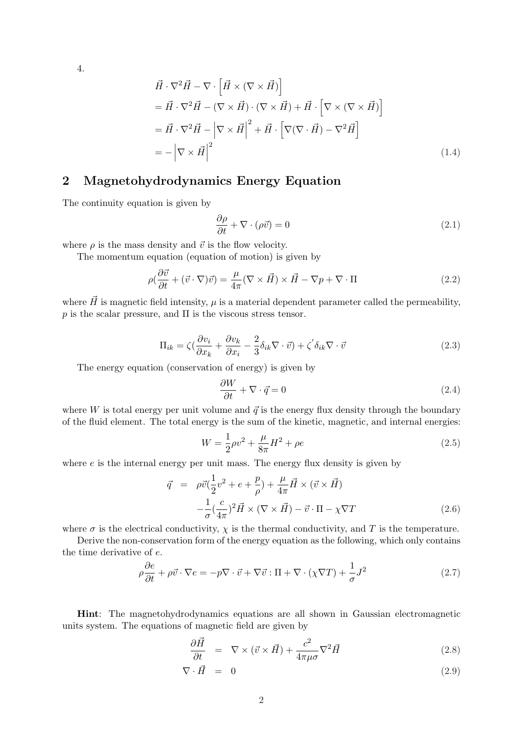4*.*

$$
\vec{H} \cdot \nabla^2 \vec{H} - \nabla \cdot \left[ \vec{H} \times (\nabla \times \vec{H}) \right] \n= \vec{H} \cdot \nabla^2 \vec{H} - (\nabla \times \vec{H}) \cdot (\nabla \times \vec{H}) + \vec{H} \cdot \left[ \nabla \times (\nabla \times \vec{H}) \right] \n= \vec{H} \cdot \nabla^2 \vec{H} - \left| \nabla \times \vec{H} \right|^2 + \vec{H} \cdot \left[ \nabla (\nabla \cdot \vec{H}) - \nabla^2 \vec{H} \right] \n= - \left| \nabla \times \vec{H} \right|^2
$$
\n(1.4)

#### **2 Magnetohydrodynamics Energy Equation**

The continuity equation is given by

$$
\frac{\partial \rho}{\partial t} + \nabla \cdot (\rho \vec{v}) = 0 \tag{2.1}
$$

where  $\rho$  is the mass density and  $\vec{v}$  is the flow velocity.

The momentum equation (equation of motion) is given by

$$
\rho(\frac{\partial \vec{v}}{\partial t} + (\vec{v} \cdot \nabla)\vec{v}) = \frac{\mu}{4\pi}(\nabla \times \vec{H}) \times \vec{H} - \nabla p + \nabla \cdot \Pi
$$
\n(2.2)

where  $\vec{H}$  is magnetic field intensity,  $\mu$  is a material dependent parameter called the permeability,  $p$  is the scalar pressure, and  $\Pi$  is the viscous stress tensor.

$$
\Pi_{ik} = \zeta \left( \frac{\partial v_i}{\partial x_k} + \frac{\partial v_k}{\partial x_i} - \frac{2}{3} \delta_{ik} \nabla \cdot \vec{v} \right) + \zeta' \delta_{ik} \nabla \cdot \vec{v}
$$
\n(2.3)

The energy equation (conservation of energy) is given by

$$
\frac{\partial W}{\partial t} + \nabla \cdot \vec{q} = 0 \tag{2.4}
$$

where *W* is total energy per unit volume and  $\vec{q}$  is the energy flux density through the boundary of the fluid element. The total energy is the sum of the kinetic, magnetic, and internal energies:

$$
W = \frac{1}{2}\rho v^2 + \frac{\mu}{8\pi}H^2 + \rho e \tag{2.5}
$$

where *e* is the internal energy per unit mass. The energy flux density is given by

$$
\vec{q} = \rho \vec{v} \left( \frac{1}{2} v^2 + e + \frac{p}{\rho} \right) + \frac{\mu}{4\pi} \vec{H} \times (\vec{v} \times \vec{H})
$$

$$
- \frac{1}{\sigma} \left( \frac{c}{4\pi} \right)^2 \vec{H} \times (\nabla \times \vec{H}) - \vec{v} \cdot \Pi - \chi \nabla T \tag{2.6}
$$

where  $\sigma$  is the electrical conductivity,  $\chi$  is the thermal conductivity, and  $T$  is the temperature.

Derive the non-conservation form of the energy equation as the following, which only contains the time derivative of *e*.

$$
\rho \frac{\partial e}{\partial t} + \rho \vec{v} \cdot \nabla e = -p \nabla \cdot \vec{v} + \nabla \vec{v} : \Pi + \nabla \cdot (\chi \nabla T) + \frac{1}{\sigma} J^2 \tag{2.7}
$$

**Hint**: The magnetohydrodynamics equations are all shown in Gaussian electromagnetic units system. The equations of magnetic field are given by

$$
\frac{\partial \vec{H}}{\partial t} = \nabla \times (\vec{v} \times \vec{H}) + \frac{c^2}{4\pi\mu\sigma} \nabla^2 \vec{H}
$$
\n(2.8)

$$
\nabla \cdot \vec{H} = 0 \tag{2.9}
$$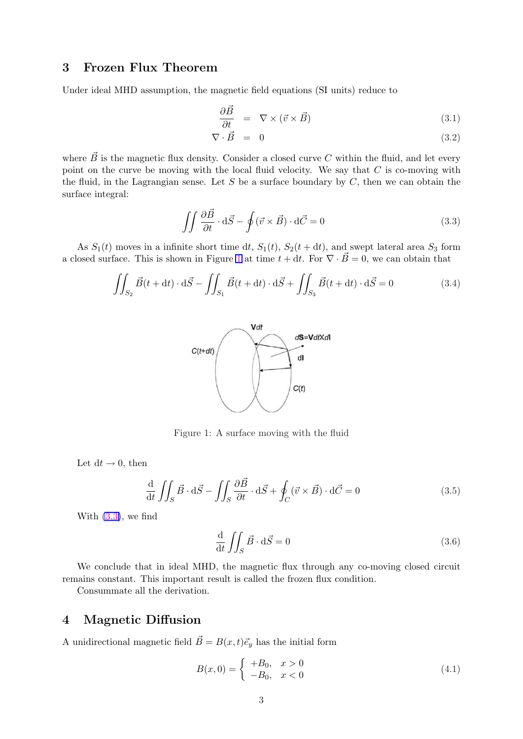#### **3 Frozen Flux Theorem**

Under ideal MHD assumption, the magnetic field equations (SI units) reduce to

$$
\frac{\partial \vec{B}}{\partial t} = \nabla \times (\vec{v} \times \vec{B}) \tag{3.1}
$$

$$
\nabla \cdot \vec{B} = 0 \tag{3.2}
$$

where  $\vec{B}$  is the magnetic flux density. Consider a closed curve *C* within the fluid, and let every point on the curve be moving with the local fluid velocity. We say that *C* is co-moving with the fluid, in the Lagrangian sense. Let *S* be a surface boundary by *C*, then we can obtain the surface integral:

$$
\iint \frac{\partial \vec{B}}{\partial t} \cdot d\vec{S} - \oint (\vec{v} \times \vec{B}) \cdot d\vec{C} = 0
$$
\n(3.3)

As  $S_1(t)$  moves in a infinite short time dt,  $S_1(t)$ ,  $S_2(t+dt)$ , and swept lateral area  $S_3$  form a closed surface. This is shown in Figure 1 at time  $t + dt$ . For  $\nabla \cdot \vec{B} = 0$ , we can obtain that

$$
\iint_{S_2} \vec{B}(t + dt) \cdot d\vec{S} - \iint_{S_1} \vec{B}(t + dt) \cdot d\vec{S} + \iint_{S_3} \vec{B}(t + dt) \cdot d\vec{S} = 0
$$
\n(3.4)



Figure 1: A surface moving with the fluid

Let  $dt \rightarrow 0$ , then

$$
\frac{\mathrm{d}}{\mathrm{d}t} \iint_{S} \vec{B} \cdot \mathrm{d}\vec{S} - \iint_{S} \frac{\partial \vec{B}}{\partial t} \cdot \mathrm{d}\vec{S} + \oint_{C} (\vec{v} \times \vec{B}) \cdot \mathrm{d}\vec{C} = 0
$$
\n(3.5)

With (3*.*3), we find

$$
\frac{\mathrm{d}}{\mathrm{d}t} \iint_{S} \vec{B} \cdot \mathrm{d}\vec{S} = 0 \tag{3.6}
$$

We conclude that in ideal MHD, the magnetic flux through any co-moving closed circuit remains constant. This important result is called the frozen flux condition.

Consummate all the derivation.

### **4 Magnetic Diffusion**

A unidirectional magnetic field  $\vec{B} = B(x, t)\vec{e_y}$  has the initial form

$$
B(x,0) = \begin{cases} +B_0, & x > 0\\ -B_0, & x < 0 \end{cases}
$$
 (4.1)